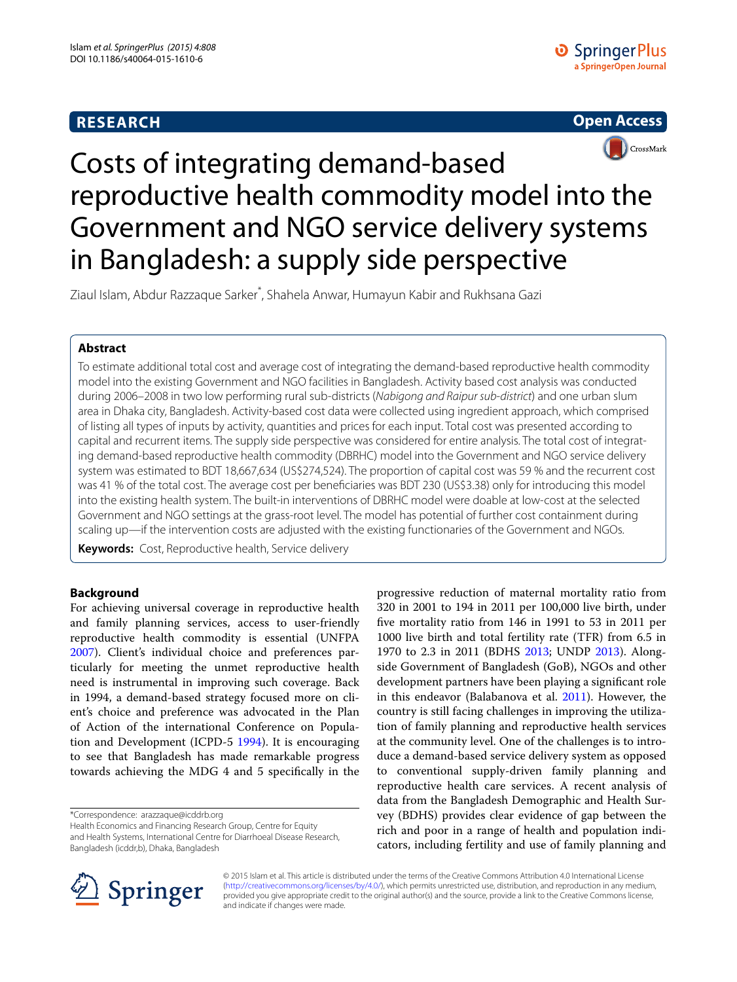# **RESEARCH**





# Costs of integrating demand-based reproductive health commodity model into the Government and NGO service delivery systems in Bangladesh: a supply side perspective

Ziaul Islam, Abdur Razzaque Sarker\* , Shahela Anwar, Humayun Kabir and Rukhsana Gazi

# **Abstract**

To estimate additional total cost and average cost of integrating the demand-based reproductive health commodity model into the existing Government and NGO facilities in Bangladesh. Activity based cost analysis was conducted during 2006–2008 in two low performing rural sub-districts (*Nabigong and Raipur sub*-*district*) and one urban slum area in Dhaka city, Bangladesh. Activity-based cost data were collected using ingredient approach, which comprised of listing all types of inputs by activity, quantities and prices for each input. Total cost was presented according to capital and recurrent items. The supply side perspective was considered for entire analysis. The total cost of integrating demand-based reproductive health commodity (DBRHC) model into the Government and NGO service delivery system was estimated to BDT 18,667,634 (US\$274,524). The proportion of capital cost was 59 % and the recurrent cost was 41 % of the total cost. The average cost per beneficiaries was BDT 230 (US\$3.38) only for introducing this model into the existing health system. The built-in interventions of DBRHC model were doable at low-cost at the selected Government and NGO settings at the grass-root level. The model has potential of further cost containment during scaling up—if the intervention costs are adjusted with the existing functionaries of the Government and NGOs.

**Keywords:** Cost, Reproductive health, Service delivery

# **Background**

For achieving universal coverage in reproductive health and family planning services, access to user-friendly reproductive health commodity is essential (UNFPA [2007](#page-5-0)). Client's individual choice and preferences particularly for meeting the unmet reproductive health need is instrumental in improving such coverage. Back in 1994, a demand-based strategy focused more on client's choice and preference was advocated in the Plan of Action of the international Conference on Population and Development (ICPD-5 [1994\)](#page-5-1). It is encouraging to see that Bangladesh has made remarkable progress towards achieving the MDG 4 and 5 specifically in the

\*Correspondence: arazzaque@icddrb.org

Health Economics and Financing Research Group, Centre for Equity and Health Systems, International Centre for Diarrhoeal Disease Research, Bangladesh (icddr,b), Dhaka, Bangladesh

progressive reduction of maternal mortality ratio from 320 in 2001 to 194 in 2011 per 100,000 live birth, under five mortality ratio from 146 in 1991 to 53 in 2011 per 1000 live birth and total fertility rate (TFR) from 6.5 in 1970 to 2.3 in 2011 (BDHS [2013;](#page-5-2) UNDP [2013\)](#page-5-3). Alongside Government of Bangladesh (GoB), NGOs and other development partners have been playing a significant role in this endeavor (Balabanova et al. [2011](#page-5-4)). However, the country is still facing challenges in improving the utilization of family planning and reproductive health services at the community level. One of the challenges is to introduce a demand-based service delivery system as opposed to conventional supply-driven family planning and reproductive health care services. A recent analysis of data from the Bangladesh Demographic and Health Survey (BDHS) provides clear evidence of gap between the rich and poor in a range of health and population indicators, including fertility and use of family planning and



© 2015 Islam et al. This article is distributed under the terms of the Creative Commons Attribution 4.0 International License [\(http://creativecommons.org/licenses/by/4.0/\)](http://creativecommons.org/licenses/by/4.0/), which permits unrestricted use, distribution, and reproduction in any medium, provided you give appropriate credit to the original author(s) and the source, provide a link to the Creative Commons license, and indicate if changes were made.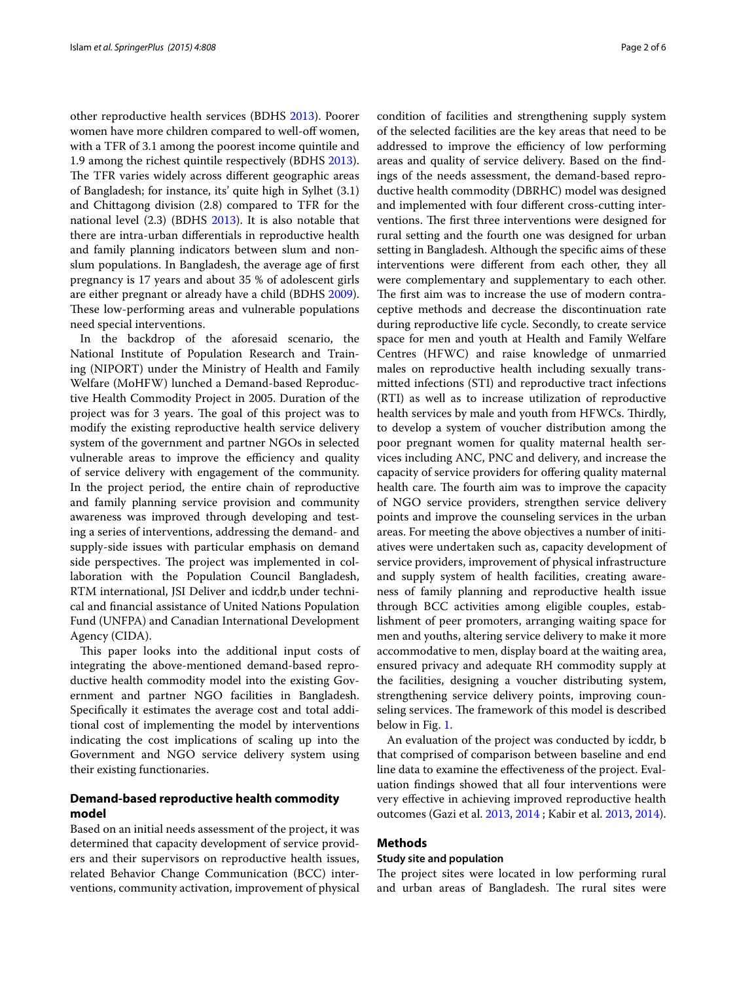other reproductive health services (BDHS [2013](#page-5-2)). Poorer women have more children compared to well-off women, with a TFR of 3.1 among the poorest income quintile and 1.9 among the richest quintile respectively (BDHS [2013](#page-5-2)). The TFR varies widely across different geographic areas of Bangladesh; for instance, its' quite high in Sylhet (3.1) and Chittagong division (2.8) compared to TFR for the national level (2.3) (BDHS [2013\)](#page-5-2). It is also notable that there are intra-urban differentials in reproductive health and family planning indicators between slum and nonslum populations. In Bangladesh, the average age of first pregnancy is 17 years and about 35 % of adolescent girls are either pregnant or already have a child (BDHS [2009](#page-5-5)). These low-performing areas and vulnerable populations need special interventions.

In the backdrop of the aforesaid scenario, the National Institute of Population Research and Training (NIPORT) under the Ministry of Health and Family Welfare (MoHFW) lunched a Demand-based Reproductive Health Commodity Project in 2005. Duration of the project was for 3 years. The goal of this project was to modify the existing reproductive health service delivery system of the government and partner NGOs in selected vulnerable areas to improve the efficiency and quality of service delivery with engagement of the community. In the project period, the entire chain of reproductive and family planning service provision and community awareness was improved through developing and testing a series of interventions, addressing the demand- and supply-side issues with particular emphasis on demand side perspectives. The project was implemented in collaboration with the Population Council Bangladesh, RTM international, JSI Deliver and icddr,b under technical and financial assistance of United Nations Population Fund (UNFPA) and Canadian International Development Agency (CIDA).

This paper looks into the additional input costs of integrating the above-mentioned demand-based reproductive health commodity model into the existing Government and partner NGO facilities in Bangladesh. Specifically it estimates the average cost and total additional cost of implementing the model by interventions indicating the cost implications of scaling up into the Government and NGO service delivery system using their existing functionaries.

## **Demand‑based reproductive health commodity model**

Based on an initial needs assessment of the project, it was determined that capacity development of service providers and their supervisors on reproductive health issues, related Behavior Change Communication (BCC) interventions, community activation, improvement of physical

condition of facilities and strengthening supply system of the selected facilities are the key areas that need to be addressed to improve the efficiency of low performing areas and quality of service delivery. Based on the findings of the needs assessment, the demand-based reproductive health commodity (DBRHC) model was designed and implemented with four different cross-cutting interventions. The first three interventions were designed for rural setting and the fourth one was designed for urban setting in Bangladesh. Although the specific aims of these interventions were different from each other, they all were complementary and supplementary to each other. The first aim was to increase the use of modern contraceptive methods and decrease the discontinuation rate during reproductive life cycle. Secondly, to create service space for men and youth at Health and Family Welfare Centres (HFWC) and raise knowledge of unmarried males on reproductive health including sexually transmitted infections (STI) and reproductive tract infections (RTI) as well as to increase utilization of reproductive health services by male and youth from HFWCs. Thirdly, to develop a system of voucher distribution among the poor pregnant women for quality maternal health services including ANC, PNC and delivery, and increase the capacity of service providers for offering quality maternal health care. The fourth aim was to improve the capacity of NGO service providers, strengthen service delivery points and improve the counseling services in the urban areas. For meeting the above objectives a number of initiatives were undertaken such as, capacity development of service providers, improvement of physical infrastructure and supply system of health facilities, creating awareness of family planning and reproductive health issue through BCC activities among eligible couples, establishment of peer promoters, arranging waiting space for men and youths, altering service delivery to make it more accommodative to men, display board at the waiting area, ensured privacy and adequate RH commodity supply at the facilities, designing a voucher distributing system, strengthening service delivery points, improving counseling services. The framework of this model is described below in Fig. [1.](#page-2-0)

An evaluation of the project was conducted by icddr, b that comprised of comparison between baseline and end line data to examine the effectiveness of the project. Evaluation findings showed that all four interventions were very effective in achieving improved reproductive health outcomes (Gazi et al. [2013](#page-5-6), [2014](#page-5-7) ; Kabir et al. [2013](#page-5-8), [2014](#page-5-9)).

## **Methods**

## **Study site and population**

The project sites were located in low performing rural and urban areas of Bangladesh. The rural sites were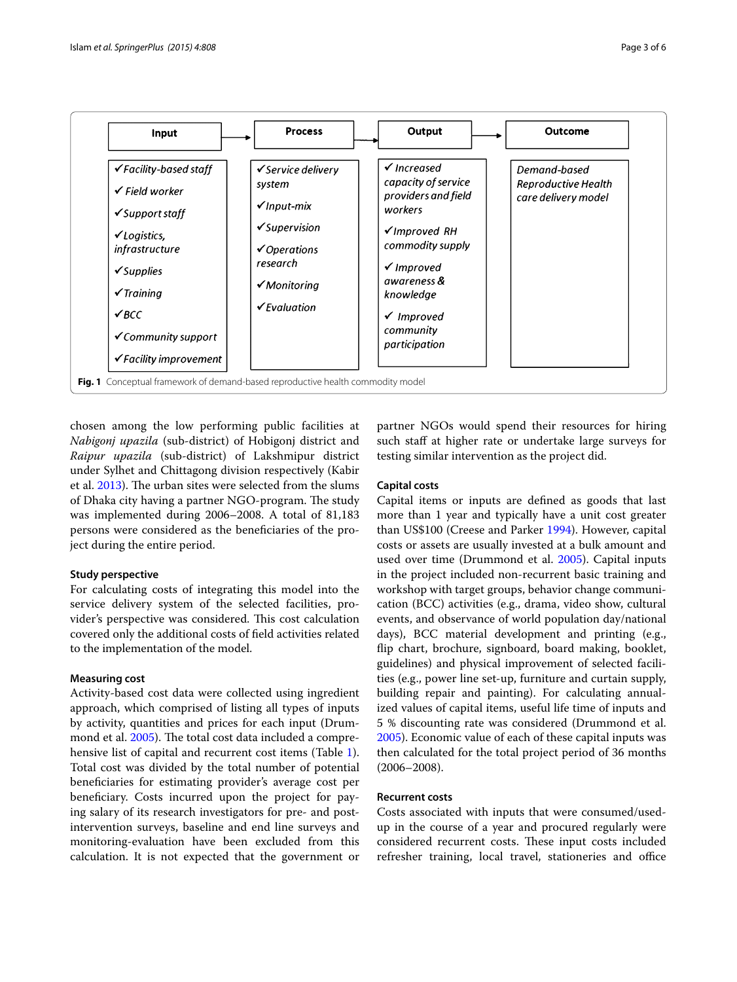

<span id="page-2-0"></span>chosen among the low performing public facilities at *Nabigonj upazila* (sub-district) of Hobigonj district and *Raipur upazila* (sub-district) of Lakshmipur district under Sylhet and Chittagong division respectively (Kabir et al. [2013](#page-5-8)). The urban sites were selected from the slums of Dhaka city having a partner NGO-program. The study was implemented during 2006–2008. A total of 81,183 persons were considered as the beneficiaries of the project during the entire period.

## **Study perspective**

For calculating costs of integrating this model into the service delivery system of the selected facilities, provider's perspective was considered. This cost calculation covered only the additional costs of field activities related to the implementation of the model.

#### **Measuring cost**

Activity-based cost data were collected using ingredient approach, which comprised of listing all types of inputs by activity, quantities and prices for each input (Drummond et al. [2005\)](#page-5-10). The total cost data included a comprehensive list of capital and recurrent cost items (Table [1](#page-3-0)). Total cost was divided by the total number of potential beneficiaries for estimating provider's average cost per beneficiary. Costs incurred upon the project for paying salary of its research investigators for pre- and postintervention surveys, baseline and end line surveys and monitoring-evaluation have been excluded from this calculation. It is not expected that the government or partner NGOs would spend their resources for hiring such staff at higher rate or undertake large surveys for testing similar intervention as the project did.

## **Capital costs**

Capital items or inputs are defined as goods that last more than 1 year and typically have a unit cost greater than US\$100 (Creese and Parker [1994\)](#page-5-11). However, capital costs or assets are usually invested at a bulk amount and used over time (Drummond et al. [2005\)](#page-5-10). Capital inputs in the project included non-recurrent basic training and workshop with target groups, behavior change communication (BCC) activities (e.g., drama, video show, cultural events, and observance of world population day/national days), BCC material development and printing (e.g., flip chart, brochure, signboard, board making, booklet, guidelines) and physical improvement of selected facilities (e.g., power line set-up, furniture and curtain supply, building repair and painting). For calculating annualized values of capital items, useful life time of inputs and 5 % discounting rate was considered (Drummond et al. [2005](#page-5-10)). Economic value of each of these capital inputs was then calculated for the total project period of 36 months (2006–2008).

#### **Recurrent costs**

Costs associated with inputs that were consumed/usedup in the course of a year and procured regularly were considered recurrent costs. These input costs included refresher training, local travel, stationeries and office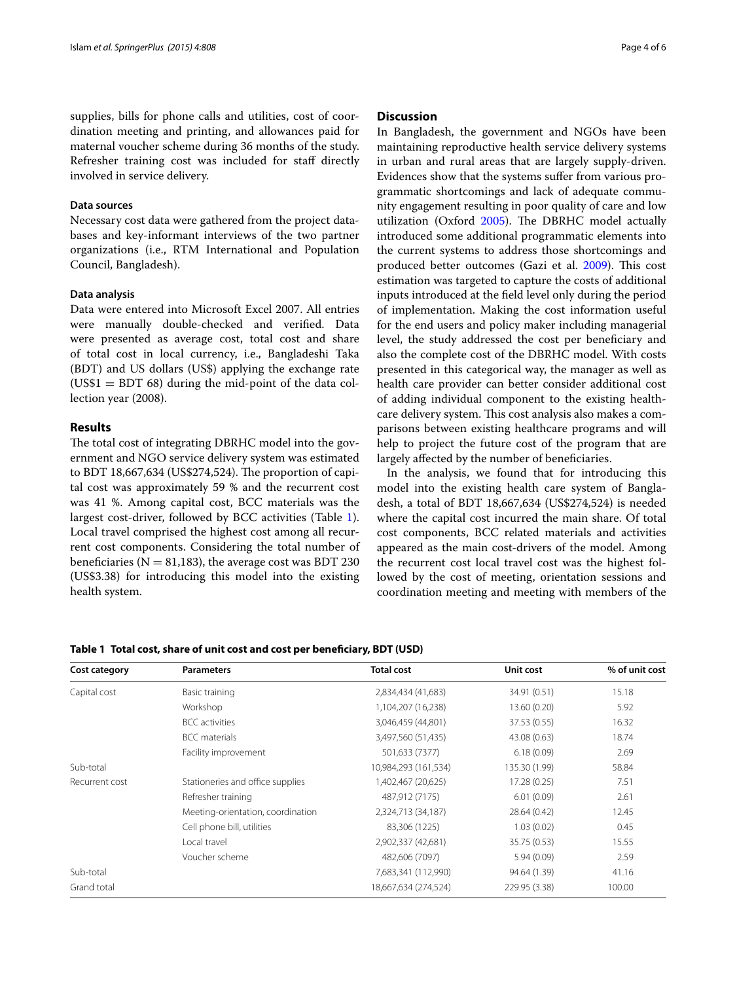supplies, bills for phone calls and utilities, cost of coordination meeting and printing, and allowances paid for maternal voucher scheme during 36 months of the study. Refresher training cost was included for staff directly involved in service delivery.

#### **Data sources**

Necessary cost data were gathered from the project databases and key-informant interviews of the two partner organizations (i.e., RTM International and Population Council, Bangladesh).

#### **Data analysis**

Data were entered into Microsoft Excel 2007. All entries were manually double-checked and verified. Data were presented as average cost, total cost and share of total cost in local currency, i.e., Bangladeshi Taka (BDT) and US dollars (US\$) applying the exchange rate  $(US$1 = BDT 68)$  during the mid-point of the data collection year (2008).

#### **Results**

The total cost of integrating DBRHC model into the government and NGO service delivery system was estimated to BDT 18,667,634 (US\$274,524). The proportion of capital cost was approximately 59 % and the recurrent cost was 41 %. Among capital cost, BCC materials was the largest cost-driver, followed by BCC activities (Table [1](#page-3-0)). Local travel comprised the highest cost among all recurrent cost components. Considering the total number of beneficiaries ( $N = 81,183$ ), the average cost was BDT 230 (US\$3.38) for introducing this model into the existing health system.

#### **Discussion**

In Bangladesh, the government and NGOs have been maintaining reproductive health service delivery systems in urban and rural areas that are largely supply-driven. Evidences show that the systems suffer from various programmatic shortcomings and lack of adequate community engagement resulting in poor quality of care and low utilization (Oxford [2005](#page-5-12)). The DBRHC model actually introduced some additional programmatic elements into the current systems to address those shortcomings and produced better outcomes (Gazi et al. [2009](#page-5-13)). This cost estimation was targeted to capture the costs of additional inputs introduced at the field level only during the period of implementation. Making the cost information useful for the end users and policy maker including managerial level, the study addressed the cost per beneficiary and also the complete cost of the DBRHC model. With costs presented in this categorical way, the manager as well as health care provider can better consider additional cost of adding individual component to the existing healthcare delivery system. This cost analysis also makes a comparisons between existing healthcare programs and will help to project the future cost of the program that are largely affected by the number of beneficiaries.

In the analysis, we found that for introducing this model into the existing health care system of Bangladesh, a total of BDT 18,667,634 (US\$274,524) is needed where the capital cost incurred the main share. Of total cost components, BCC related materials and activities appeared as the main cost-drivers of the model. Among the recurrent cost local travel cost was the highest followed by the cost of meeting, orientation sessions and coordination meeting and meeting with members of the

## <span id="page-3-0"></span>**Table 1 Total cost, share of unit cost and cost per beneficiary, BDT (USD)**

| Cost category  | <b>Parameters</b>                 | <b>Total cost</b>    | Unit cost     | % of unit cost |
|----------------|-----------------------------------|----------------------|---------------|----------------|
| Capital cost   | Basic training                    | 2,834,434 (41,683)   | 34.91 (0.51)  | 15.18          |
|                | Workshop                          | 1,104,207 (16,238)   | 13.60 (0.20)  | 5.92           |
|                | <b>BCC</b> activities             | 3,046,459 (44,801)   | 37.53 (0.55)  | 16.32          |
|                | <b>BCC</b> materials              | 3,497,560 (51,435)   | 43.08 (0.63)  | 18.74          |
|                | Facility improvement              | 501,633 (7377)       | 6.18(0.09)    | 2.69           |
| Sub-total      |                                   | 10,984,293 (161,534) | 135.30 (1.99) | 58.84          |
| Recurrent cost | Stationeries and office supplies  | 1,402,467 (20,625)   | 17.28 (0.25)  | 7.51           |
|                | Refresher training                | 487,912 (7175)       | 6.01(0.09)    | 2.61           |
|                | Meeting-orientation, coordination | 2,324,713 (34,187)   | 28.64 (0.42)  | 12.45          |
|                | Cell phone bill, utilities        | 83,306 (1225)        | 1.03(0.02)    | 0.45           |
|                | Local travel                      | 2,902,337 (42,681)   | 35.75 (0.53)  | 15.55          |
|                | Voucher scheme                    | 482,606 (7097)       | 5.94(0.09)    | 2.59           |
| Sub-total      |                                   | 7,683,341 (112,990)  | 94.64 (1.39)  | 41.16          |
| Grand total    |                                   | 18,667,634 (274,524) | 229.95 (3.38) | 100.00         |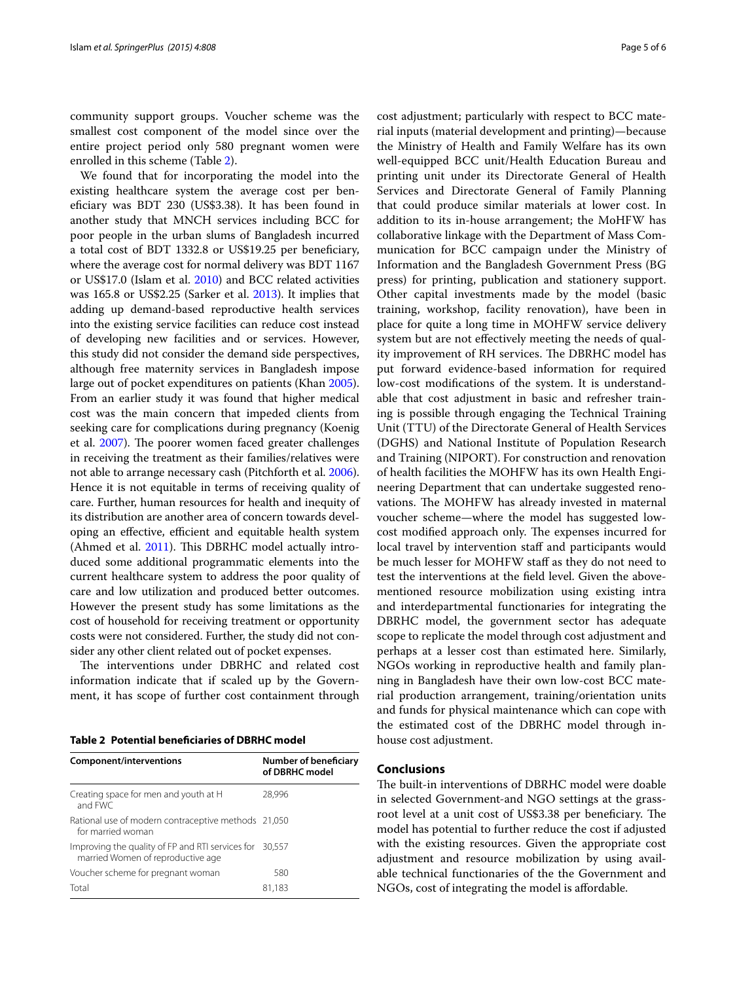community support groups. Voucher scheme was the smallest cost component of the model since over the entire project period only 580 pregnant women were enrolled in this scheme (Table [2](#page-4-0)).

We found that for incorporating the model into the existing healthcare system the average cost per beneficiary was BDT 230 (US\$3.38). It has been found in another study that MNCH services including BCC for poor people in the urban slums of Bangladesh incurred a total cost of BDT 1332.8 or US\$19.25 per beneficiary, where the average cost for normal delivery was BDT 1167 or US\$17.0 (Islam et al. [2010\)](#page-5-14) and BCC related activities was 165.8 or US\$2.25 (Sarker et al. [2013](#page-5-15)). It implies that adding up demand-based reproductive health services into the existing service facilities can reduce cost instead of developing new facilities and or services. However, this study did not consider the demand side perspectives, although free maternity services in Bangladesh impose large out of pocket expenditures on patients (Khan [2005](#page-5-16)). From an earlier study it was found that higher medical cost was the main concern that impeded clients from seeking care for complications during pregnancy (Koenig et al. [2007\)](#page-5-17). The poorer women faced greater challenges in receiving the treatment as their families/relatives were not able to arrange necessary cash (Pitchforth et al. [2006](#page-5-18)). Hence it is not equitable in terms of receiving quality of care. Further, human resources for health and inequity of its distribution are another area of concern towards developing an effective, efficient and equitable health system (Ahmed et al. [2011\)](#page-5-19). This DBRHC model actually introduced some additional programmatic elements into the current healthcare system to address the poor quality of care and low utilization and produced better outcomes. However the present study has some limitations as the cost of household for receiving treatment or opportunity costs were not considered. Further, the study did not consider any other client related out of pocket expenses.

The interventions under DBRHC and related cost information indicate that if scaled up by the Government, it has scope of further cost containment through

<span id="page-4-0"></span>

| Table 2 Potential beneficiaries of DBRHC model |  |
|------------------------------------------------|--|
|------------------------------------------------|--|

| Component/interventions                                                                      | <b>Number of beneficiary</b><br>of DBRHC model |
|----------------------------------------------------------------------------------------------|------------------------------------------------|
| Creating space for men and youth at H<br>and FWC                                             | 28.996                                         |
| Rational use of modern contraceptive methods 21,050<br>for married woman                     |                                                |
| Improving the quality of FP and RTI services for 30,557<br>married Women of reproductive age |                                                |
| Voucher scheme for pregnant woman                                                            | 580                                            |
| Total                                                                                        | 81,183                                         |

cost adjustment; particularly with respect to BCC material inputs (material development and printing)—because the Ministry of Health and Family Welfare has its own well-equipped BCC unit/Health Education Bureau and printing unit under its Directorate General of Health Services and Directorate General of Family Planning that could produce similar materials at lower cost. In addition to its in-house arrangement; the MoHFW has collaborative linkage with the Department of Mass Communication for BCC campaign under the Ministry of Information and the Bangladesh Government Press (BG press) for printing, publication and stationery support. Other capital investments made by the model (basic training, workshop, facility renovation), have been in place for quite a long time in MOHFW service delivery system but are not effectively meeting the needs of quality improvement of RH services. The DBRHC model has put forward evidence-based information for required low-cost modifications of the system. It is understandable that cost adjustment in basic and refresher training is possible through engaging the Technical Training Unit (TTU) of the Directorate General of Health Services (DGHS) and National Institute of Population Research and Training (NIPORT). For construction and renovation of health facilities the MOHFW has its own Health Engineering Department that can undertake suggested renovations. The MOHFW has already invested in maternal voucher scheme—where the model has suggested lowcost modified approach only. The expenses incurred for local travel by intervention staff and participants would be much lesser for MOHFW staff as they do not need to test the interventions at the field level. Given the abovementioned resource mobilization using existing intra and interdepartmental functionaries for integrating the DBRHC model, the government sector has adequate scope to replicate the model through cost adjustment and perhaps at a lesser cost than estimated here. Similarly, NGOs working in reproductive health and family planning in Bangladesh have their own low-cost BCC material production arrangement, training/orientation units and funds for physical maintenance which can cope with the estimated cost of the DBRHC model through inhouse cost adjustment.

#### **Conclusions**

The built-in interventions of DBRHC model were doable in selected Government-and NGO settings at the grassroot level at a unit cost of US\$3.38 per beneficiary. The model has potential to further reduce the cost if adjusted with the existing resources. Given the appropriate cost adjustment and resource mobilization by using available technical functionaries of the the Government and NGOs, cost of integrating the model is affordable.